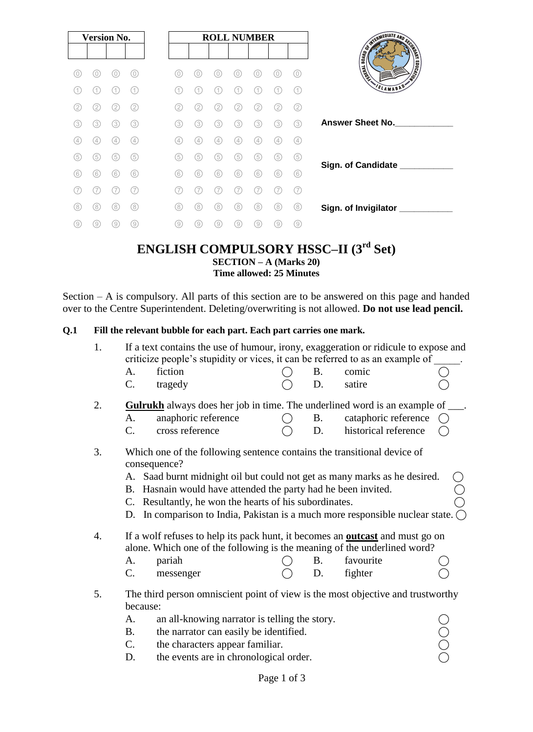|             | <b>Version No.</b> |          |     |     |     |     | <b>ROLL NUMBER</b> |                |               |                   |
|-------------|--------------------|----------|-----|-----|-----|-----|--------------------|----------------|---------------|-------------------|
|             |                    |          |     |     |     |     |                    |                |               |                   |
| 0           | $\Omega$           | $\Omega$ | 0)  | 0   |     | 0   | 0                  | O              | 0             | 0)                |
|             |                    |          | (1) | 1.  |     |     | (1                 |                |               | (1)               |
| $^{\circ}2$ | $\overline{2}$     | 2        | (2) | 2)  | 2   | 2   | 2                  | (2             | 2             | $\left( 2\right)$ |
| (3)         | 3)                 | (3)      | (3) | (3) | (3) | 3)  | (3)                | (3             | (3)           | 3                 |
| 14          | 4                  | 4        | (4  | (4) | 4   | 4   | 4                  | $\overline{4}$ | $\frac{1}{2}$ | (4)               |
| (5)         | 5                  | (5       | (5) | (5) | (5  | 5   | (5                 | (5             | 5             | (5)               |
| (6)         | 6                  | (6)      | (6) | (6) | (6) | 6   | 6)                 | 6              | 6             | (6)               |
|             |                    |          |     |     |     |     |                    |                |               | (7                |
| (8)         | (8)                | (8)      | (8) | (8) | (8) | 8)  | (8                 | (8)            | (8)           | (8)               |
| (9)         | 9                  | 9        | (9) | (9) | 0)  | . Э | 9                  | 0)             | 9             | (9)               |

### **ENGLISH COMPULSORY HSSC–II (3rd Set) SECTION – A (Marks 20) Time allowed: 25 Minutes**

Section – A is compulsory. All parts of this section are to be answered on this page and handed over to the Centre Superintendent. Deleting/overwriting is not allowed. **Do not use lead pencil.**

#### **Q.1 Fill the relevant bubble for each part. Each part carries one mark.**

| 1. | If a text contains the use of humour, irony, exaggeration or ridicule to expose and<br>criticize people's stupidity or vices, it can be referred to as an example of |                                                                                                                                                                  |  |           |                      |  |  |  |  |  |  |  |
|----|----------------------------------------------------------------------------------------------------------------------------------------------------------------------|------------------------------------------------------------------------------------------------------------------------------------------------------------------|--|-----------|----------------------|--|--|--|--|--|--|--|
|    | A.                                                                                                                                                                   | fiction                                                                                                                                                          |  | <b>B.</b> | comic                |  |  |  |  |  |  |  |
|    | C.                                                                                                                                                                   | tragedy                                                                                                                                                          |  | D.        | satire               |  |  |  |  |  |  |  |
| 2. |                                                                                                                                                                      | Gulrukh always does her job in time. The underlined word is an example of                                                                                        |  |           |                      |  |  |  |  |  |  |  |
|    | A.                                                                                                                                                                   | anaphoric reference                                                                                                                                              |  | <b>B.</b> | cataphoric reference |  |  |  |  |  |  |  |
|    | $\mathcal{C}$ .                                                                                                                                                      | cross reference                                                                                                                                                  |  | D.        | historical reference |  |  |  |  |  |  |  |
| 3. |                                                                                                                                                                      | Which one of the following sentence contains the transitional device of<br>consequence?                                                                          |  |           |                      |  |  |  |  |  |  |  |
|    |                                                                                                                                                                      | A. Saad burnt midnight oil but could not get as many marks as he desired.                                                                                        |  |           |                      |  |  |  |  |  |  |  |
|    |                                                                                                                                                                      | B. Hasnain would have attended the party had he been invited.                                                                                                    |  |           |                      |  |  |  |  |  |  |  |
|    |                                                                                                                                                                      | C. Resultantly, he won the hearts of his subordinates.                                                                                                           |  |           |                      |  |  |  |  |  |  |  |
|    |                                                                                                                                                                      | D. In comparison to India, Pakistan is a much more responsible nuclear state. $\bigcirc$                                                                         |  |           |                      |  |  |  |  |  |  |  |
| 4. |                                                                                                                                                                      | If a wolf refuses to help its pack hunt, it becomes an <b>outcast</b> and must go on<br>alone. Which one of the following is the meaning of the underlined word? |  |           |                      |  |  |  |  |  |  |  |
|    | A.                                                                                                                                                                   | pariah                                                                                                                                                           |  | <b>B.</b> | favourite            |  |  |  |  |  |  |  |
|    | C.                                                                                                                                                                   | messenger                                                                                                                                                        |  | D.        | fighter              |  |  |  |  |  |  |  |
|    |                                                                                                                                                                      |                                                                                                                                                                  |  |           |                      |  |  |  |  |  |  |  |
| 5. |                                                                                                                                                                      | The third person omniscient point of view is the most objective and trustworthy                                                                                  |  |           |                      |  |  |  |  |  |  |  |
|    | because:                                                                                                                                                             |                                                                                                                                                                  |  |           |                      |  |  |  |  |  |  |  |
|    | A.                                                                                                                                                                   | an all-knowing narrator is telling the story.                                                                                                                    |  |           |                      |  |  |  |  |  |  |  |
|    | <b>B.</b>                                                                                                                                                            | the narrator can easily be identified.                                                                                                                           |  |           |                      |  |  |  |  |  |  |  |
|    | $C_{\cdot}$                                                                                                                                                          | the characters appear familiar.                                                                                                                                  |  |           |                      |  |  |  |  |  |  |  |
|    | D.                                                                                                                                                                   | the events are in chronological order.                                                                                                                           |  |           |                      |  |  |  |  |  |  |  |
|    |                                                                                                                                                                      |                                                                                                                                                                  |  |           |                      |  |  |  |  |  |  |  |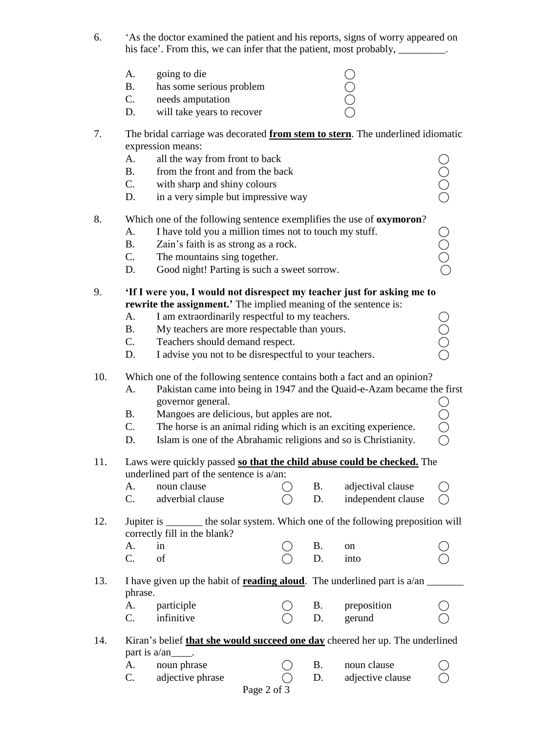6. "As the doctor examined the patient and his reports, signs of worry appeared on his face'. From this, we can infer that the patient, most probably, \_\_\_\_\_\_\_\_.

|     | A.<br><b>B.</b><br>C.<br>D.                                                                                        | going to die<br>has some serious problem<br>needs amputation<br>will take years to recover                                                                                                                                                                                                                                                                      |                                                                                                                                                    |           |                    |             |  |  |  |  |  |  |  |  |
|-----|--------------------------------------------------------------------------------------------------------------------|-----------------------------------------------------------------------------------------------------------------------------------------------------------------------------------------------------------------------------------------------------------------------------------------------------------------------------------------------------------------|----------------------------------------------------------------------------------------------------------------------------------------------------|-----------|--------------------|-------------|--|--|--|--|--|--|--|--|
| 7.  | The bridal carriage was decorated from stem to stern. The underlined idiomatic<br>expression means:                |                                                                                                                                                                                                                                                                                                                                                                 |                                                                                                                                                    |           |                    |             |  |  |  |  |  |  |  |  |
|     | A.                                                                                                                 | all the way from front to back                                                                                                                                                                                                                                                                                                                                  |                                                                                                                                                    |           |                    |             |  |  |  |  |  |  |  |  |
|     | B <sub>r</sub>                                                                                                     | from the front and from the back                                                                                                                                                                                                                                                                                                                                |                                                                                                                                                    |           |                    |             |  |  |  |  |  |  |  |  |
|     | $C_{\cdot}$<br>D.                                                                                                  | with sharp and shiny colours<br>in a very simple but impressive way                                                                                                                                                                                                                                                                                             |                                                                                                                                                    |           |                    | Ō<br>O<br>O |  |  |  |  |  |  |  |  |
| 8.  |                                                                                                                    | Which one of the following sentence exemplifies the use of <b>oxymoron</b> ?                                                                                                                                                                                                                                                                                    |                                                                                                                                                    |           |                    |             |  |  |  |  |  |  |  |  |
|     | A.                                                                                                                 | I have told you a million times not to touch my stuff.                                                                                                                                                                                                                                                                                                          |                                                                                                                                                    |           |                    |             |  |  |  |  |  |  |  |  |
|     | <b>B.</b><br>$C_{\cdot}$                                                                                           | Zain's faith is as strong as a rock.                                                                                                                                                                                                                                                                                                                            |                                                                                                                                                    |           |                    | OOO         |  |  |  |  |  |  |  |  |
|     | D.                                                                                                                 | The mountains sing together.<br>Good night! Parting is such a sweet sorrow.                                                                                                                                                                                                                                                                                     |                                                                                                                                                    |           |                    |             |  |  |  |  |  |  |  |  |
| 9.  | A.<br><b>B.</b><br>$C_{\cdot}$<br>D.                                                                               | 'If I were you, I would not disrespect my teacher just for asking me to<br>rewrite the assignment.' The implied meaning of the sentence is:<br>I am extraordinarily respectful to my teachers.<br>U<br>O<br>O<br>O<br>My teachers are more respectable than yours.<br>Teachers should demand respect.<br>I advise you not to be disrespectful to your teachers. |                                                                                                                                                    |           |                    |             |  |  |  |  |  |  |  |  |
| 10. | A.                                                                                                                 |                                                                                                                                                                                                                                                                                                                                                                 | Which one of the following sentence contains both a fact and an opinion?<br>Pakistan came into being in 1947 and the Quaid-e-Azam became the first |           |                    |             |  |  |  |  |  |  |  |  |
|     | <b>B.</b>                                                                                                          | governor general.<br>Mangoes are delicious, but apples are not.                                                                                                                                                                                                                                                                                                 |                                                                                                                                                    |           |                    |             |  |  |  |  |  |  |  |  |
|     | C.                                                                                                                 | The horse is an animal riding which is an exciting experience.                                                                                                                                                                                                                                                                                                  |                                                                                                                                                    |           |                    |             |  |  |  |  |  |  |  |  |
|     | D.                                                                                                                 | Islam is one of the Abrahamic religions and so is Christianity.                                                                                                                                                                                                                                                                                                 |                                                                                                                                                    |           |                    | Ŏ<br>O<br>O |  |  |  |  |  |  |  |  |
| 11. | Laws were quickly passed so that the child abuse could be checked. The<br>underlined part of the sentence is a/an: |                                                                                                                                                                                                                                                                                                                                                                 |                                                                                                                                                    |           |                    |             |  |  |  |  |  |  |  |  |
|     | A.                                                                                                                 | noun clause                                                                                                                                                                                                                                                                                                                                                     | $\left( \begin{array}{c} 1 \end{array} \right)$                                                                                                    | <b>B.</b> | adjectival clause  |             |  |  |  |  |  |  |  |  |
|     | $C_{\cdot}$                                                                                                        | adverbial clause                                                                                                                                                                                                                                                                                                                                                |                                                                                                                                                    | D.        | independent clause |             |  |  |  |  |  |  |  |  |
| 12. |                                                                                                                    | Jupiter is ________ the solar system. Which one of the following preposition will<br>correctly fill in the blank?                                                                                                                                                                                                                                               |                                                                                                                                                    |           |                    |             |  |  |  |  |  |  |  |  |
|     | А.                                                                                                                 | in                                                                                                                                                                                                                                                                                                                                                              |                                                                                                                                                    | Β.        | on                 |             |  |  |  |  |  |  |  |  |
|     | $C_{\cdot}$                                                                                                        | of                                                                                                                                                                                                                                                                                                                                                              |                                                                                                                                                    | D.        | into               |             |  |  |  |  |  |  |  |  |
| 13. | phrase.                                                                                                            | I have given up the habit of <b>reading aloud</b> . The underlined part is $a/an$ .                                                                                                                                                                                                                                                                             |                                                                                                                                                    |           |                    |             |  |  |  |  |  |  |  |  |
|     | А.                                                                                                                 | participle                                                                                                                                                                                                                                                                                                                                                      |                                                                                                                                                    | B.<br>D.  | preposition        |             |  |  |  |  |  |  |  |  |
|     | $C_{\cdot}$                                                                                                        | infinitive                                                                                                                                                                                                                                                                                                                                                      |                                                                                                                                                    |           | gerund             |             |  |  |  |  |  |  |  |  |
| 14. | part is a/an                                                                                                       | Kiran's belief that she would succeed one day cheered her up. The underlined                                                                                                                                                                                                                                                                                    |                                                                                                                                                    |           |                    |             |  |  |  |  |  |  |  |  |
|     | A.                                                                                                                 | noun phrase                                                                                                                                                                                                                                                                                                                                                     |                                                                                                                                                    | <b>B.</b> | noun clause        |             |  |  |  |  |  |  |  |  |
|     | C.                                                                                                                 | adjective phrase                                                                                                                                                                                                                                                                                                                                                |                                                                                                                                                    | D.        | adjective clause   |             |  |  |  |  |  |  |  |  |
|     |                                                                                                                    | Page 2 of 3                                                                                                                                                                                                                                                                                                                                                     |                                                                                                                                                    |           |                    |             |  |  |  |  |  |  |  |  |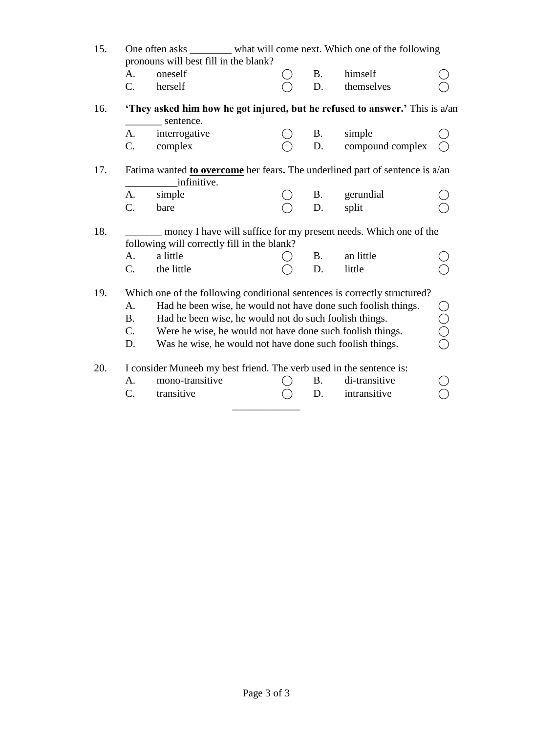| 15. | One often asks ________ what will come next. Which one of the following<br>pronouns will best fill in the blank? |                                                                                             |  |           |                                                                  |                       |  |  |  |  |  |  |
|-----|------------------------------------------------------------------------------------------------------------------|---------------------------------------------------------------------------------------------|--|-----------|------------------------------------------------------------------|-----------------------|--|--|--|--|--|--|
|     | A.                                                                                                               | oneself                                                                                     |  | <b>B.</b> | himself                                                          |                       |  |  |  |  |  |  |
|     | $C_{\cdot}$                                                                                                      | herself                                                                                     |  | D.        | themselves                                                       |                       |  |  |  |  |  |  |
| 16. |                                                                                                                  | 'They asked him how he got injured, but he refused to answer.' This is a/an<br>__ sentence. |  |           |                                                                  |                       |  |  |  |  |  |  |
|     | A.                                                                                                               | interrogative                                                                               |  | <b>B.</b> | simple                                                           |                       |  |  |  |  |  |  |
|     | $C_{\cdot}$                                                                                                      | complex                                                                                     |  | D.        | compound complex                                                 |                       |  |  |  |  |  |  |
| 17. |                                                                                                                  | Fatima wanted to overcome her fears. The underlined part of sentence is a/an<br>infinitive. |  |           |                                                                  |                       |  |  |  |  |  |  |
|     | A.                                                                                                               | simple                                                                                      |  | <b>B.</b> | gerundial                                                        |                       |  |  |  |  |  |  |
|     | C.                                                                                                               | bare                                                                                        |  | D.        | split                                                            |                       |  |  |  |  |  |  |
| 18. |                                                                                                                  |                                                                                             |  |           | money I have will suffice for my present needs. Which one of the |                       |  |  |  |  |  |  |
|     |                                                                                                                  | following will correctly fill in the blank?                                                 |  |           |                                                                  |                       |  |  |  |  |  |  |
|     | A <sub>1</sub>                                                                                                   | a little                                                                                    |  | <b>B.</b> | an little                                                        |                       |  |  |  |  |  |  |
|     | C.                                                                                                               | the little                                                                                  |  | D.        | little                                                           |                       |  |  |  |  |  |  |
| 19. |                                                                                                                  | Which one of the following conditional sentences is correctly structured?                   |  |           |                                                                  |                       |  |  |  |  |  |  |
|     | A.                                                                                                               | Had he been wise, he would not have done such foolish things.                               |  |           |                                                                  |                       |  |  |  |  |  |  |
|     | <b>B.</b>                                                                                                        | Had he been wise, he would not do such foolish things.                                      |  |           |                                                                  |                       |  |  |  |  |  |  |
|     | $C_{\cdot}$                                                                                                      | Were he wise, he would not have done such foolish things.                                   |  |           |                                                                  |                       |  |  |  |  |  |  |
|     | D.                                                                                                               | Was he wise, he would not have done such foolish things.                                    |  |           |                                                                  | 0<br>0<br>0<br>0<br>0 |  |  |  |  |  |  |
| 20. | I consider Muneeb my best friend. The verb used in the sentence is:                                              |                                                                                             |  |           |                                                                  |                       |  |  |  |  |  |  |
|     | A.                                                                                                               | mono-transitive                                                                             |  | B.        | di-transitive                                                    |                       |  |  |  |  |  |  |
|     | $\mathcal{C}$ .                                                                                                  | transitive                                                                                  |  | D.        | intransitive                                                     |                       |  |  |  |  |  |  |

\_\_\_\_\_\_\_\_\_\_\_\_\_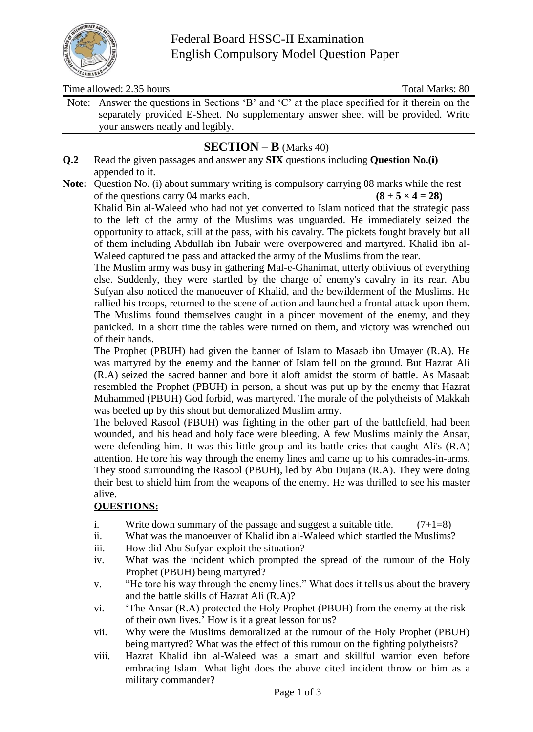

Time allowed: 2.35 hours Total Marks: 80 Note: Answer the questions in Sections "B" and "C" at the place specified for it therein on the

separately provided E-Sheet. No supplementary answer sheet will be provided. Write your answers neatly and legibly.

# **SECTION – B** (Marks 40)

- **Q.2** Read the given passages and answer any **SIX** questions including **Question No.(i)** appended to it.
- **Note:** Question No. (i) about summary writing is compulsory carrying 08 marks while the rest of the questions carry 04 marks each.  $(8 + 5 \times 4 = 28)$

Khalid Bin al-Waleed who had not yet converted to Islam noticed that the strategic pass to the left of the army of the Muslims was unguarded. He immediately seized the opportunity to attack, still at the pass, with his cavalry. The pickets fought bravely but all of them including Abdullah ibn Jubair were overpowered and martyred. Khalid ibn al-Waleed captured the pass and attacked the army of the Muslims from the rear.

The Muslim army was busy in gathering Mal-e-Ghanimat, utterly oblivious of everything else. Suddenly, they were startled by the charge of enemy's cavalry in its rear. Abu Sufyan also noticed the manoeuver of Khalid, and the bewilderment of the Muslims. He rallied his troops, returned to the scene of action and launched a frontal attack upon them. The Muslims found themselves caught in a pincer movement of the enemy, and they panicked. In a short time the tables were turned on them, and victory was wrenched out of their hands.

The Prophet (PBUH) had given the banner of Islam to Masaab ibn Umayer (R.A). He was martyred by the enemy and the banner of Islam fell on the ground. But Hazrat Ali (R.A) seized the sacred banner and bore it aloft amidst the storm of battle. As Masaab resembled the Prophet (PBUH) in person, a shout was put up by the enemy that Hazrat Muhammed (PBUH) God forbid, was martyred. The morale of the polytheists of Makkah was beefed up by this shout but demoralized Muslim army.

The beloved Rasool (PBUH) was fighting in the other part of the battlefield, had been wounded, and his head and holy face were bleeding. A few Muslims mainly the Ansar, were defending him. It was this little group and its battle cries that caught Ali's (R.A) attention. He tore his way through the enemy lines and came up to his comrades-in-arms. They stood surrounding the Rasool (PBUH), led by Abu Dujana (R.A). They were doing their best to shield him from the weapons of the enemy. He was thrilled to see his master alive.

# **QUESTIONS:**

- i. Write down summary of the passage and suggest a suitable title.  $(7+1=8)$
- ii. What was the manoeuver of Khalid ibn al-Waleed which startled the Muslims?
- iii. How did Abu Sufyan exploit the situation?
- iv. What was the incident which prompted the spread of the rumour of the Holy Prophet (PBUH) being martyred?
- v. "He tore his way through the enemy lines." What does it tells us about the bravery and the battle skills of Hazrat Ali (R.A)?
- vi. "The Ansar (R.A) protected the Holy Prophet (PBUH) from the enemy at the risk of their own lives." How is it a great lesson for us?
- vii. Why were the Muslims demoralized at the rumour of the Holy Prophet (PBUH) being martyred? What was the effect of this rumour on the fighting polytheists?
- viii. Hazrat Khalid ibn al-Waleed was a smart and skillful warrior even before embracing Islam. What light does the above cited incident throw on him as a military commander?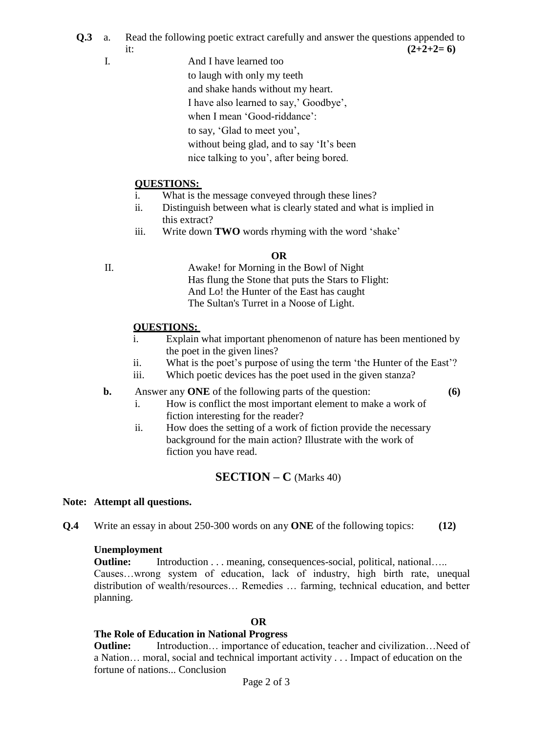- **Q.3** a. Read the following poetic extract carefully and answer the questions appended to it:  $(2+2+2=6)$ 
	-
	- I. And I have learned too

to laugh with only my teeth

and shake hands without my heart.

I have also learned to say,' Goodbye',

when I mean 'Good-riddance':

to say, 'Glad to meet you',

without being glad, and to say 'It's been

nice talking to you", after being bored.

#### **QUESTIONS:**

- i. What is the message conveyed through these lines?
- ii. Distinguish between what is clearly stated and what is implied in this extract?
- iii. Write down **TWO** words rhyming with the word 'shake'

#### **OR**

 II. Awake! for Morning in the Bowl of Night Has flung the Stone that puts the Stars to Flight: And Lo! the Hunter of the East has caught The Sultan's Turret in a Noose of Light.

#### **QUESTIONS:**

- i. Explain what important phenomenon of nature has been mentioned by the poet in the given lines?
- ii. What is the poet's purpose of using the term 'the Hunter of the East'?
- iii. Which poetic devices has the poet used in the given stanza?
- **b.** Answer any **ONE** of the following parts of the question: **(6)**

- i. How is conflict the most important element to make a work of fiction interesting for the reader?
- ii. How does the setting of a work of fiction provide the necessary background for the main action? Illustrate with the work of fiction you have read.

## **SECTION – C** (Marks 40)

#### **Note: Attempt all questions.**

**Q.4** Write an essay in about 250-300 words on any **ONE** of the following topics: **(12)**

#### **Unemployment**

**Outline:** Introduction . . . meaning, consequences-social, political, national..... Causes…wrong system of education, lack of industry, high birth rate, unequal distribution of wealth/resources… Remedies … farming, technical education, and better planning.

#### **OR**

#### **The Role of Education in National Progress**

**Outline:** Introduction... importance of education, teacher and civilization...Need of a Nation… moral, social and technical important activity . . . Impact of education on the fortune of nations... Conclusion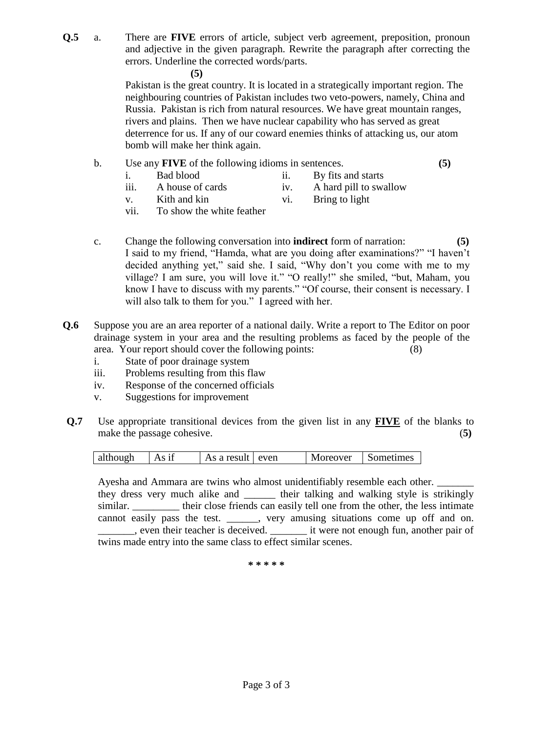**Q.5** a. There are **FIVE** errors of article, subject verb agreement, preposition, pronoun and adjective in the given paragraph. Rewrite the paragraph after correcting the errors. Underline the corrected words/parts.

**(5)**

Pakistan is the great country. It is located in a strategically important region. The neighbouring countries of Pakistan includes two veto-powers, namely, China and Russia. Pakistan is rich from natural resources. We have great mountain ranges, rivers and plains. Then we have nuclear capability who has served as great deterrence for us. If any of our coward enemies thinks of attacking us, our atom bomb will make her think again.

- b. Use any **FIVE** of the following idioms in sentences. **(5)**
	- i. Bad blood ii. By fits and starts
	-
	- iii. A house of cards iv. A hard pill to swallow
	- v. Kith and kin vi. Bring to light
	- vii. To show the white feather
- c. Change the following conversation into **indirect** form of narration: **(5)** I said to my friend, "Hamda, what are you doing after examinations?" "I haven"t decided anything yet," said she. I said, "Why don't you come with me to my village? I am sure, you will love it." "O really!" she smiled, "but, Maham, you know I have to discuss with my parents." "Of course, their consent is necessary. I will also talk to them for you." I agreed with her.
- **Q.6** Suppose you are an area reporter of a national daily. Write a report to The Editor on poor drainage system in your area and the resulting problems as faced by the people of the area. Your report should cover the following points: (8)
	- i. State of poor drainage system
	- iii. Problems resulting from this flaw
	- iv. Response of the concerned officials
	- v. Suggestions for improvement
- **Q.7** Use appropriate transitional devices from the given list in any **FIVE** of the blanks to make the passage cohesive. (5)

| although | As 11 | As a result   even | Moreover | Sometimes |
|----------|-------|--------------------|----------|-----------|

Ayesha and Ammara are twins who almost unidentifiably resemble each other. \_\_\_\_\_\_\_ they dress very much alike and \_\_\_\_\_\_ their talking and walking style is strikingly similar. **Example 1.** their close friends can easily tell one from the other, the less intimate cannot easily pass the test. \_\_\_\_\_\_, very amusing situations come up off and on. \_\_\_\_\_\_\_, even their teacher is deceived. \_\_\_\_\_\_\_ it were not enough fun, another pair of twins made entry into the same class to effect similar scenes.

**\* \* \* \* \***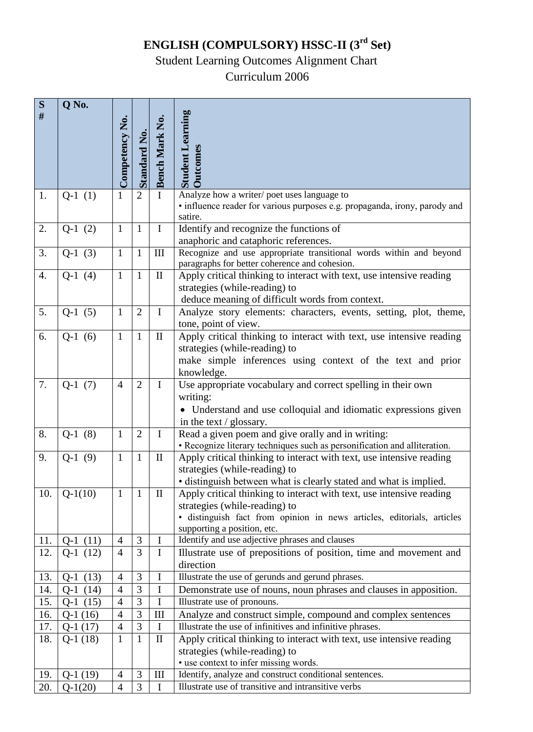# **ENGLISH (COMPULSORY) HSSC-II (3rd Set)**

# Student Learning Outcomes Alignment Chart

# Curriculum 2006

| ${\bf S}$ | Q No.         |                |                |                |                                                                            |
|-----------|---------------|----------------|----------------|----------------|----------------------------------------------------------------------------|
| #         |               |                |                |                |                                                                            |
|           |               | Competency No. |                | Bench Mark No. | <b>Student Learning</b>                                                    |
|           |               |                | <b>Do</b>      |                |                                                                            |
|           |               |                |                |                |                                                                            |
|           |               |                |                |                |                                                                            |
|           |               |                | Standard       |                | <b>Outcomes</b>                                                            |
|           |               |                |                |                |                                                                            |
| 1.        | $Q-1(1)$      | 1              | $\overline{2}$ |                | Analyze how a writer/ poet uses language to                                |
|           |               |                |                |                | · influence reader for various purposes e.g. propaganda, irony, parody and |
|           |               |                |                |                | satire.                                                                    |
| 2.        | $Q-1(2)$      | $\mathbf{1}$   | $\mathbf{1}$   | $\bf{I}$       | Identify and recognize the functions of                                    |
|           |               |                |                |                | anaphoric and cataphoric references.                                       |
| 3.        | $Q-1(3)$      | $\mathbf{1}$   | $\mathbf{1}$   | III            | Recognize and use appropriate transitional words within and beyond         |
|           |               |                |                |                | paragraphs for better coherence and cohesion.                              |
| 4.        | $Q-1(4)$      | $\mathbf{1}$   | $\mathbf{1}$   | $\mathbf{I}$   | Apply critical thinking to interact with text, use intensive reading       |
|           |               |                |                |                | strategies (while-reading) to                                              |
|           |               |                |                |                | deduce meaning of difficult words from context.                            |
| 5.        | $Q-1(5)$      | $\mathbf{1}$   | $\overline{2}$ | $\mathbf I$    | Analyze story elements: characters, events, setting, plot, theme,          |
|           |               |                |                |                | tone, point of view.                                                       |
| 6.        | $Q-1(6)$      | $\mathbf{1}$   | $\mathbf{1}$   | $\mathbf{I}$   | Apply critical thinking to interact with text, use intensive reading       |
|           |               |                |                |                | strategies (while-reading) to                                              |
|           |               |                |                |                | make simple inferences using context of the text and prior                 |
|           |               |                |                |                | knowledge.                                                                 |
| 7.        | $Q-1(7)$      | $\overline{4}$ | $\overline{2}$ | $\mathbf I$    | Use appropriate vocabulary and correct spelling in their own               |
|           |               |                |                |                | writing:                                                                   |
|           |               |                |                |                | • Understand and use colloquial and idiomatic expressions given            |
|           |               |                |                |                | in the text $\frac{1}{2}$ glossary.                                        |
| 8.        | $Q-1(8)$      | $\mathbf{1}$   | $\overline{2}$ | $\bf{I}$       | Read a given poem and give orally and in writing:                          |
|           |               |                |                |                | · Recognize literary techniques such as personification and alliteration.  |
| 9.        | $Q-1(9)$      | $\mathbf{1}$   | $\mathbf{1}$   | $\mathbf{I}$   | Apply critical thinking to interact with text, use intensive reading       |
|           |               |                |                |                | strategies (while-reading) to                                              |
|           |               |                |                |                | • distinguish between what is clearly stated and what is implied.          |
| 10.       | $Q-1(10)$     | $\mathbf{1}$   | $\mathbf{1}$   | $\mathbf{I}$   | Apply critical thinking to interact with text, use intensive reading       |
|           |               |                |                |                | strategies (while-reading) to                                              |
|           |               |                |                |                | · distinguish fact from opinion in news articles, editorials, articles     |
|           |               |                |                |                | supporting a position, etc.                                                |
| 11.       | $Q-1(11)$     | $\overline{4}$ | 3              | $\mathbf I$    | Identify and use adjective phrases and clauses                             |
| 12.       | $Q-1(12)$     | 4              | 3              | $\bf{I}$       | Illustrate use of prepositions of position, time and movement and          |
|           |               |                |                |                | direction                                                                  |
| 13.       | $Q-1(13)$     | $\overline{4}$ | 3              | $\mathbf I$    | Illustrate the use of gerunds and gerund phrases.                          |
| 14.       | $Q-1$<br>(14) | $\overline{4}$ | 3              | I              | Demonstrate use of nouns, noun phrases and clauses in apposition.          |
| 15.       | $Q-1(15)$     | $\overline{4}$ | 3              | $\mathbf I$    | Illustrate use of pronouns.                                                |
| 16.       | $Q-1(16)$     | $\overline{4}$ | 3              | Ш              | Analyze and construct simple, compound and complex sentences               |
| 17.       | $Q-1(17)$     | $\overline{4}$ | 3              | $\mathbf I$    | Illustrate the use of infinitives and infinitive phrases.                  |
| 18.       | $Q-1(18)$     | $\mathbf{1}$   | $\mathbf{1}$   | $\mathbf{I}$   | Apply critical thinking to interact with text, use intensive reading       |
|           |               |                |                |                | strategies (while-reading) to                                              |
|           |               |                |                |                | • use context to infer missing words.                                      |
| 19.       | $Q-1(19)$     | 4              | 3              | III            | Identify, analyze and construct conditional sentences.                     |
| 20.       | $Q-1(20)$     | $\overline{4}$ | 3              | $\bf{I}$       | Illustrate use of transitive and intransitive verbs                        |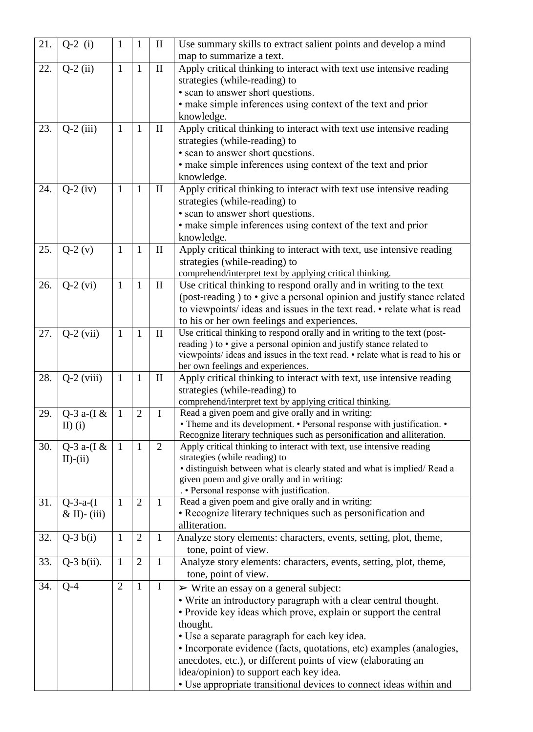| 21. | $Q-2$ (i)         | $\mathbf{1}$   | $\mathbf{1}$   | $\mathbf{I}$   | Use summary skills to extract salient points and develop a mind                                       |
|-----|-------------------|----------------|----------------|----------------|-------------------------------------------------------------------------------------------------------|
|     |                   |                |                |                | map to summarize a text.                                                                              |
| 22. | $Q-2$ (ii)        | $\mathbf{1}$   | $\mathbf{1}$   | $\mathbf{I}$   | Apply critical thinking to interact with text use intensive reading                                   |
|     |                   |                |                |                | strategies (while-reading) to                                                                         |
|     |                   |                |                |                | • scan to answer short questions.                                                                     |
|     |                   |                |                |                | · make simple inferences using context of the text and prior                                          |
|     |                   |                |                |                | knowledge.                                                                                            |
| 23. | $Q-2$ (iii)       | $\mathbf{1}$   | $\mathbf{1}$   | $\mathbf{I}$   | Apply critical thinking to interact with text use intensive reading                                   |
|     |                   |                |                |                | strategies (while-reading) to                                                                         |
|     |                   |                |                |                | • scan to answer short questions.                                                                     |
|     |                   |                |                |                | • make simple inferences using context of the text and prior                                          |
|     |                   |                |                |                | knowledge.                                                                                            |
| 24. | $Q-2$ (iv)        | $\mathbf{1}$   | $\mathbf{1}$   | $\mathbf{I}$   | Apply critical thinking to interact with text use intensive reading                                   |
|     |                   |                |                |                | strategies (while-reading) to                                                                         |
|     |                   |                |                |                | • scan to answer short questions.                                                                     |
|     |                   |                |                |                | • make simple inferences using context of the text and prior                                          |
|     |                   |                |                |                | knowledge.                                                                                            |
| 25. | $Q-2(v)$          | $\mathbf{1}$   | $\mathbf{1}$   | $\mathbf{I}$   | Apply critical thinking to interact with text, use intensive reading                                  |
|     |                   |                |                |                | strategies (while-reading) to                                                                         |
|     |                   |                |                |                | comprehend/interpret text by applying critical thinking.                                              |
| 26. | $Q-2$ (vi)        | $\mathbf{1}$   | $\mathbf{1}$   | $\mathbf{I}$   | Use critical thinking to respond orally and in writing to the text                                    |
|     |                   |                |                |                | (post-reading) to • give a personal opinion and justify stance related                                |
|     |                   |                |                |                | to viewpoints/ ideas and issues in the text read. • relate what is read                               |
|     |                   |                |                |                | to his or her own feelings and experiences.                                                           |
| 27. | $Q-2$ (vii)       | $\mathbf{1}$   | $\mathbf{1}$   | $\mathbf{I}$   | Use critical thinking to respond orally and in writing to the text (post-                             |
|     |                   |                |                |                | reading) to • give a personal opinion and justify stance related to                                   |
|     |                   |                |                |                | viewpoints/ ideas and issues in the text read. • relate what is read to his or                        |
|     |                   |                |                |                | her own feelings and experiences.                                                                     |
| 28. | $Q-2$ (viii)      | $\mathbf{1}$   | $\mathbf{1}$   | $\mathbf{I}$   | Apply critical thinking to interact with text, use intensive reading                                  |
|     |                   |                |                |                | strategies (while-reading) to                                                                         |
|     |                   |                |                |                | comprehend/interpret text by applying critical thinking.                                              |
| 29. | Q-3 a- $(I &$     | $\mathbf{1}$   | $\overline{2}$ | I              | Read a given poem and give orally and in writing:                                                     |
|     | $II)$ (i)         |                |                |                | • Theme and its development. • Personal response with justification. •                                |
|     |                   |                |                |                | Recognize literary techniques such as personification and alliteration.                               |
| 30. | Q-3 a- $(I \&$    | $\mathbf{1}$   | $\mathbf{1}$   | $\overline{2}$ | Apply critical thinking to interact with text, use intensive reading<br>strategies (while reading) to |
|     | $II)-(ii)$        |                |                |                | • distinguish between what is clearly stated and what is implied/Read a                               |
|     |                   |                |                |                | given poem and give orally and in writing:                                                            |
|     |                   |                |                |                | . • Personal response with justification.                                                             |
| 31. | $Q - 3 - a - (I)$ | $\mathbf{1}$   | $\overline{2}$ | $\mathbf{1}$   | Read a given poem and give orally and in writing:                                                     |
|     | $&$ II)- (iii)    |                |                |                | • Recognize literary techniques such as personification and                                           |
|     |                   |                |                |                | alliteration.                                                                                         |
| 32. | $Q-3 b(i)$        | $\mathbf{1}$   | $\overline{2}$ | $\mathbf{1}$   | Analyze story elements: characters, events, setting, plot, theme,                                     |
|     |                   |                |                |                | tone, point of view.                                                                                  |
| 33. | $Q-3 b(ii)$ .     | $\mathbf{1}$   | $\overline{2}$ | $\mathbf{1}$   | Analyze story elements: characters, events, setting, plot, theme,                                     |
|     |                   |                |                |                | tone, point of view.                                                                                  |
| 34. | $Q-4$             | $\overline{2}$ | $\mathbf{1}$   | $\mathbf I$    | $\triangleright$ Write an essay on a general subject:                                                 |
|     |                   |                |                |                | • Write an introductory paragraph with a clear central thought.                                       |
|     |                   |                |                |                | • Provide key ideas which prove, explain or support the central                                       |
|     |                   |                |                |                | thought.                                                                                              |
|     |                   |                |                |                | • Use a separate paragraph for each key idea.                                                         |
|     |                   |                |                |                | • Incorporate evidence (facts, quotations, etc) examples (analogies,                                  |
|     |                   |                |                |                | anecdotes, etc.), or different points of view (elaborating an                                         |
|     |                   |                |                |                | idea/opinion) to support each key idea.                                                               |
|     |                   |                |                |                | • Use appropriate transitional devices to connect ideas within and                                    |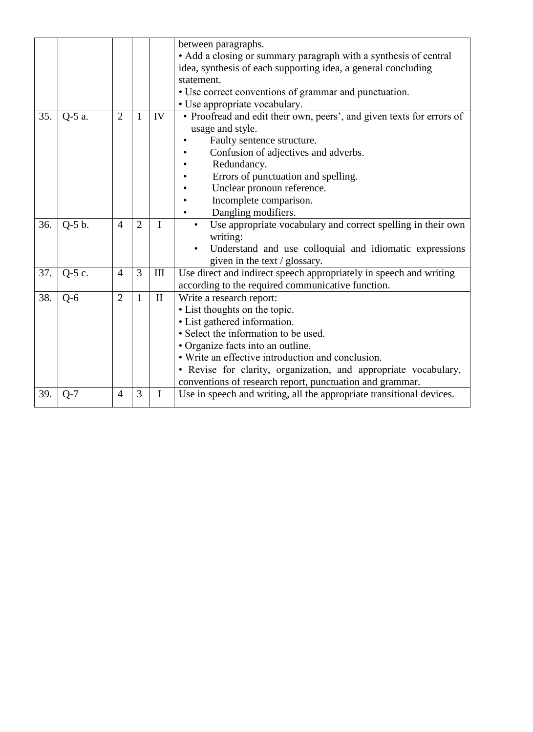|     |          |                |                |              | between paragraphs.<br>• Add a closing or summary paragraph with a synthesis of central<br>idea, synthesis of each supporting idea, a general concluding<br>statement.<br>• Use correct conventions of grammar and punctuation.<br>• Use appropriate vocabulary.                                                                                           |
|-----|----------|----------------|----------------|--------------|------------------------------------------------------------------------------------------------------------------------------------------------------------------------------------------------------------------------------------------------------------------------------------------------------------------------------------------------------------|
| 35. | O-5 a.   | $\overline{2}$ | $\mathbf{1}$   | IV           | · Proofread and edit their own, peers', and given texts for errors of<br>usage and style.<br>Faulty sentence structure.<br>Confusion of adjectives and adverbs.<br>Redundancy.<br>Errors of punctuation and spelling.<br>Unclear pronoun reference.<br>Incomplete comparison.<br>Dangling modifiers.                                                       |
| 36. | $Q-5 b.$ | $\overline{4}$ | $\overline{2}$ | I            | Use appropriate vocabulary and correct spelling in their own<br>writing:<br>Understand and use colloquial and idiomatic expressions<br>given in the text / glossary.                                                                                                                                                                                       |
| 37. | Q-5 c.   | $\overline{4}$ | $\overline{3}$ | $\rm III$    | Use direct and indirect speech appropriately in speech and writing<br>according to the required communicative function.                                                                                                                                                                                                                                    |
| 38. | $Q-6$    | $\overline{2}$ | $\mathbf{1}$   | $\mathbf{I}$ | Write a research report:<br>• List thoughts on the topic.<br>· List gathered information.<br>• Select the information to be used.<br>• Organize facts into an outline.<br>• Write an effective introduction and conclusion.<br>· Revise for clarity, organization, and appropriate vocabulary,<br>conventions of research report, punctuation and grammar. |
| 39. | $Q-7$    | $\overline{4}$ | 3              | I            | Use in speech and writing, all the appropriate transitional devices.                                                                                                                                                                                                                                                                                       |